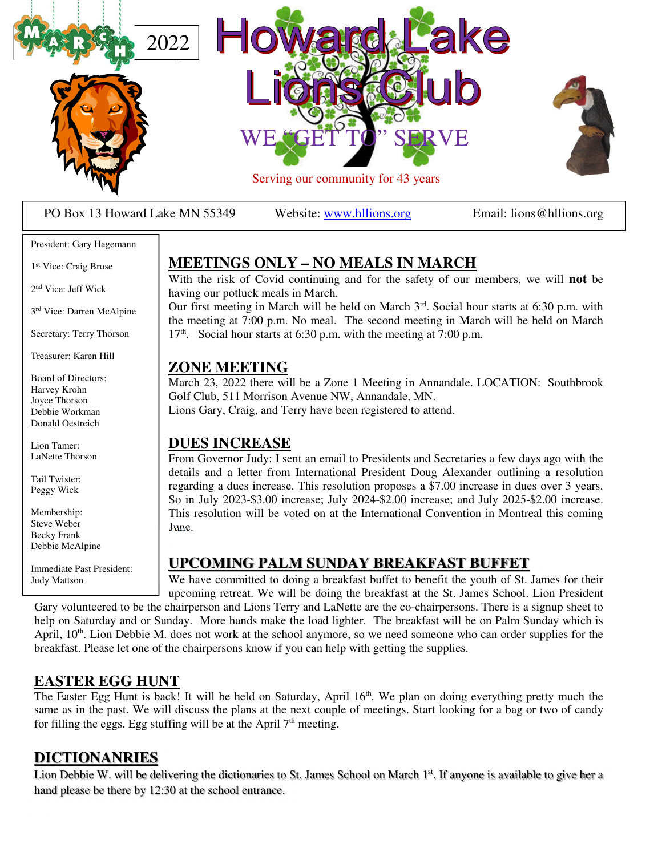

PO Box 13 Howard Lake MN 55349 Website: www.hllions.org Email: lions@hllions.org

#### President: Gary Hagemann

1 st Vice: Craig Brose

2 nd Vice: Jeff Wick

3 rd Vice: Darren McAlpine

Secretary: Terry Thorson

Treasurer: Karen Hill

Board of Directors: Harvey Krohn Joyce Thorson Debbie Workman Donald Oestreich

Lion Tamer: LaNette Thorson

Tail Twister: Peggy Wick

Membership: Steve Weber Becky Frank Debbie McAlpine

Immediate Past President: Judy Mattson

### **MEETINGS ONLY – NO MEALS IN MARCH**

With the risk of Covid continuing and for the safety of our members, we will **not** be having our potluck meals in March.

Our first meeting in March will be held on March  $3<sup>rd</sup>$ . Social hour starts at 6:30 p.m. with the meeting at 7:00 p.m. No meal. The second meeting in March will be held on March  $17<sup>th</sup>$ . Social hour starts at 6:30 p.m. with the meeting at 7:00 p.m.

#### **ZONE MEETING**

March 23, 2022 there will be a Zone 1 Meeting in Annandale. LOCATION: Southbrook Golf Club, 511 Morrison Avenue NW, Annandale, MN. Lions Gary, Craig, and Terry have been registered to attend.

#### **DUES INCREASE**

From Governor Judy: I sent an email to Presidents and Secretaries a few days ago with the details and a letter from International President Doug Alexander outlining a resolution regarding a dues increase. This resolution proposes a \$7.00 increase in dues over 3 years. So in July 2023-\$3.00 increase; July 2024-\$2.00 increase; and July 2025-\$2.00 increase. This resolution will be voted on at the International Convention in Montreal this coming June.

#### **UPCOMING PALM SUNDAY BREAKFAST BUFFET**

We have committed to doing a breakfast buffet to benefit the youth of St. James for their upcoming retreat. We will be doing the breakfast at the St. James School. Lion President

Gary volunteered to be the chairperson and Lions Terry and LaNette are the co-chairpersons. There is a signup sheet to help on Saturday and or Sunday. More hands make the load lighter. The breakfast will be on Palm Sunday which is April, 10<sup>th</sup>. Lion Debbie M. does not work at the school anymore, so we need someone who can order supplies for the breakfast. Please let one of the chairpersons know if you can help with getting the supplies.

#### **EASTER EGG HUNT**

The Easter Egg Hunt is back! It will be held on Saturday, April 16<sup>th</sup>. We plan on doing everything pretty much the same as in the past. We will discuss the plans at the next couple of meetings. Start looking for a bag or two of candy for filling the eggs. Egg stuffing will be at the April  $7<sup>th</sup>$  meeting.

#### **DICTIONANRIES**

Lion Debbie W. will be delivering the dictionaries to St. James School on March 1<sup>st</sup>. If anyone is available to give her a hand please be there by 12:30 at the school entrance.